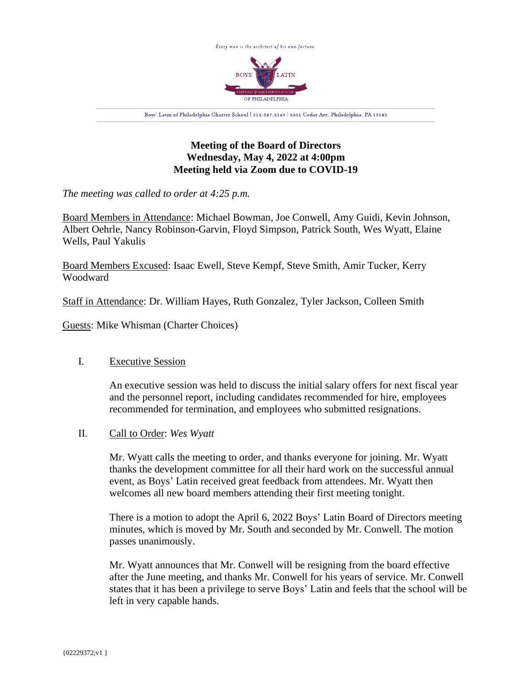

# **Meeting of the Board of Directors Wednesday, May 4, 2022 at 4:00pm Meeting held via Zoom due to COVID-19**

*The meeting was called to order at 4:25 p.m.*

Board Members in Attendance: Michael Bowman, Joe Conwell, Amy Guidi, Kevin Johnson, Albert Oehrle, Nancy Robinson-Garvin, Floyd Simpson, Patrick South, Wes Wyatt, Elaine Wells, Paul Yakulis

Board Members Excused: Isaac Ewell, Steve Kempf, Steve Smith, Amir Tucker, Kerry Woodward

Staff in Attendance: Dr. William Hayes, Ruth Gonzalez, Tyler Jackson, Colleen Smith

Guests: Mike Whisman (Charter Choices)

### I. Executive Session

An executive session was held to discuss the initial salary offers for next fiscal year and the personnel report, including candidates recommended for hire, employees recommended for termination, and employees who submitted resignations.

### II. Call to Order: *Wes Wyatt*

Mr. Wyatt calls the meeting to order, and thanks everyone for joining. Mr. Wyatt thanks the development committee for all their hard work on the successful annual event, as Boys' Latin received great feedback from attendees. Mr. Wyatt then welcomes all new board members attending their first meeting tonight.

There is a motion to adopt the April 6, 2022 Boys' Latin Board of Directors meeting minutes, which is moved by Mr. South and seconded by Mr. Conwell. The motion passes unanimously.

Mr. Wyatt announces that Mr. Conwell will be resigning from the board effective after the June meeting, and thanks Mr. Conwell for his years of service. Mr. Conwell states that it has been a privilege to serve Boys' Latin and feels that the school will be left in very capable hands.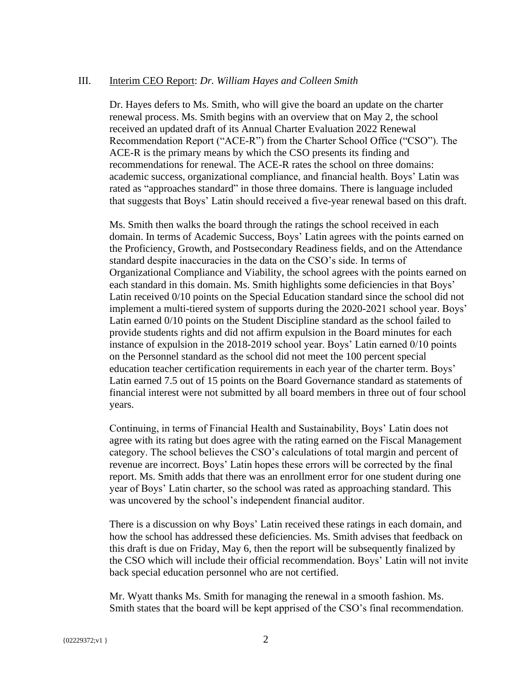#### III. Interim CEO Report: *Dr. William Hayes and Colleen Smith*

Dr. Hayes defers to Ms. Smith, who will give the board an update on the charter renewal process. Ms. Smith begins with an overview that on May 2, the school received an updated draft of its Annual Charter Evaluation 2022 Renewal Recommendation Report ("ACE-R") from the Charter School Office ("CSO"). The ACE-R is the primary means by which the CSO presents its finding and recommendations for renewal. The ACE-R rates the school on three domains: academic success, organizational compliance, and financial health. Boys' Latin was rated as "approaches standard" in those three domains. There is language included that suggests that Boys' Latin should received a five-year renewal based on this draft.

Ms. Smith then walks the board through the ratings the school received in each domain. In terms of Academic Success, Boys' Latin agrees with the points earned on the Proficiency, Growth, and Postsecondary Readiness fields, and on the Attendance standard despite inaccuracies in the data on the CSO's side. In terms of Organizational Compliance and Viability, the school agrees with the points earned on each standard in this domain. Ms. Smith highlights some deficiencies in that Boys' Latin received 0/10 points on the Special Education standard since the school did not implement a multi-tiered system of supports during the 2020-2021 school year. Boys' Latin earned 0/10 points on the Student Discipline standard as the school failed to provide students rights and did not affirm expulsion in the Board minutes for each instance of expulsion in the 2018-2019 school year. Boys' Latin earned 0/10 points on the Personnel standard as the school did not meet the 100 percent special education teacher certification requirements in each year of the charter term. Boys' Latin earned 7.5 out of 15 points on the Board Governance standard as statements of financial interest were not submitted by all board members in three out of four school years.

Continuing, in terms of Financial Health and Sustainability, Boys' Latin does not agree with its rating but does agree with the rating earned on the Fiscal Management category. The school believes the CSO's calculations of total margin and percent of revenue are incorrect. Boys' Latin hopes these errors will be corrected by the final report. Ms. Smith adds that there was an enrollment error for one student during one year of Boys' Latin charter, so the school was rated as approaching standard. This was uncovered by the school's independent financial auditor.

There is a discussion on why Boys' Latin received these ratings in each domain, and how the school has addressed these deficiencies. Ms. Smith advises that feedback on this draft is due on Friday, May 6, then the report will be subsequently finalized by the CSO which will include their official recommendation. Boys' Latin will not invite back special education personnel who are not certified.

Mr. Wyatt thanks Ms. Smith for managing the renewal in a smooth fashion. Ms. Smith states that the board will be kept apprised of the CSO's final recommendation.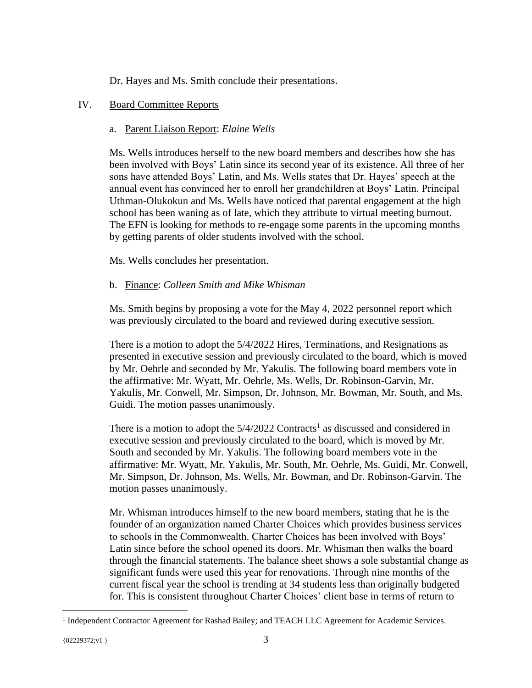Dr. Hayes and Ms. Smith conclude their presentations.

## IV. Board Committee Reports

## a. Parent Liaison Report: *Elaine Wells*

Ms. Wells introduces herself to the new board members and describes how she has been involved with Boys' Latin since its second year of its existence. All three of her sons have attended Boys' Latin, and Ms. Wells states that Dr. Hayes' speech at the annual event has convinced her to enroll her grandchildren at Boys' Latin. Principal Uthman-Olukokun and Ms. Wells have noticed that parental engagement at the high school has been waning as of late, which they attribute to virtual meeting burnout. The EFN is looking for methods to re-engage some parents in the upcoming months by getting parents of older students involved with the school.

Ms. Wells concludes her presentation.

## b. Finance: *Colleen Smith and Mike Whisman*

Ms. Smith begins by proposing a vote for the May 4, 2022 personnel report which was previously circulated to the board and reviewed during executive session.

There is a motion to adopt the 5/4/2022 Hires, Terminations, and Resignations as presented in executive session and previously circulated to the board, which is moved by Mr. Oehrle and seconded by Mr. Yakulis. The following board members vote in the affirmative: Mr. Wyatt, Mr. Oehrle, Ms. Wells, Dr. Robinson-Garvin, Mr. Yakulis, Mr. Conwell, Mr. Simpson, Dr. Johnson, Mr. Bowman, Mr. South, and Ms. Guidi. The motion passes unanimously.

There is a motion to adopt the  $5/4/2022$  Contracts<sup>1</sup> as discussed and considered in executive session and previously circulated to the board, which is moved by Mr. South and seconded by Mr. Yakulis. The following board members vote in the affirmative: Mr. Wyatt, Mr. Yakulis, Mr. South, Mr. Oehrle, Ms. Guidi, Mr. Conwell, Mr. Simpson, Dr. Johnson, Ms. Wells, Mr. Bowman, and Dr. Robinson-Garvin. The motion passes unanimously.

Mr. Whisman introduces himself to the new board members, stating that he is the founder of an organization named Charter Choices which provides business services to schools in the Commonwealth. Charter Choices has been involved with Boys' Latin since before the school opened its doors. Mr. Whisman then walks the board through the financial statements. The balance sheet shows a sole substantial change as significant funds were used this year for renovations. Through nine months of the current fiscal year the school is trending at 34 students less than originally budgeted for. This is consistent throughout Charter Choices' client base in terms of return to

<sup>&</sup>lt;sup>1</sup> Independent Contractor Agreement for Rashad Bailey; and TEACH LLC Agreement for Academic Services.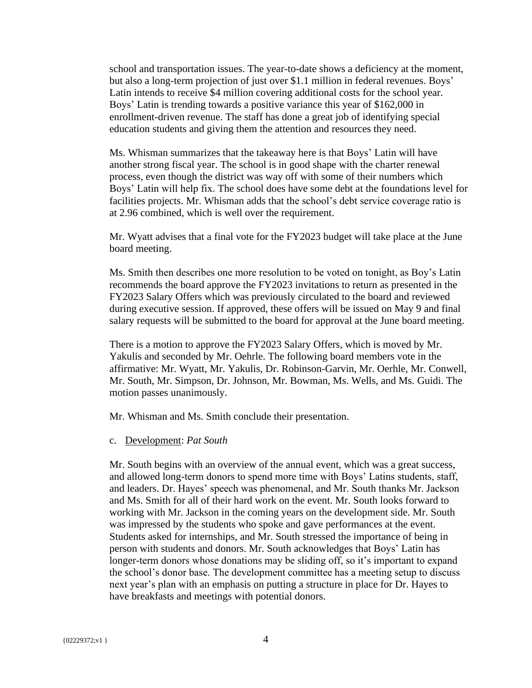school and transportation issues. The year-to-date shows a deficiency at the moment, but also a long-term projection of just over \$1.1 million in federal revenues. Boys' Latin intends to receive \$4 million covering additional costs for the school year. Boys' Latin is trending towards a positive variance this year of \$162,000 in enrollment-driven revenue. The staff has done a great job of identifying special education students and giving them the attention and resources they need.

Ms. Whisman summarizes that the takeaway here is that Boys' Latin will have another strong fiscal year. The school is in good shape with the charter renewal process, even though the district was way off with some of their numbers which Boys' Latin will help fix. The school does have some debt at the foundations level for facilities projects. Mr. Whisman adds that the school's debt service coverage ratio is at 2.96 combined, which is well over the requirement.

Mr. Wyatt advises that a final vote for the FY2023 budget will take place at the June board meeting.

Ms. Smith then describes one more resolution to be voted on tonight, as Boy's Latin recommends the board approve the FY2023 invitations to return as presented in the FY2023 Salary Offers which was previously circulated to the board and reviewed during executive session. If approved, these offers will be issued on May 9 and final salary requests will be submitted to the board for approval at the June board meeting.

There is a motion to approve the FY2023 Salary Offers, which is moved by Mr. Yakulis and seconded by Mr. Oehrle. The following board members vote in the affirmative: Mr. Wyatt, Mr. Yakulis, Dr. Robinson-Garvin, Mr. Oerhle, Mr. Conwell, Mr. South, Mr. Simpson, Dr. Johnson, Mr. Bowman, Ms. Wells, and Ms. Guidi. The motion passes unanimously.

Mr. Whisman and Ms. Smith conclude their presentation.

c. Development: *Pat South*

Mr. South begins with an overview of the annual event, which was a great success, and allowed long-term donors to spend more time with Boys' Latins students, staff, and leaders. Dr. Hayes' speech was phenomenal, and Mr. South thanks Mr. Jackson and Ms. Smith for all of their hard work on the event. Mr. South looks forward to working with Mr. Jackson in the coming years on the development side. Mr. South was impressed by the students who spoke and gave performances at the event. Students asked for internships, and Mr. South stressed the importance of being in person with students and donors. Mr. South acknowledges that Boys' Latin has longer-term donors whose donations may be sliding off, so it's important to expand the school's donor base. The development committee has a meeting setup to discuss next year's plan with an emphasis on putting a structure in place for Dr. Hayes to have breakfasts and meetings with potential donors.